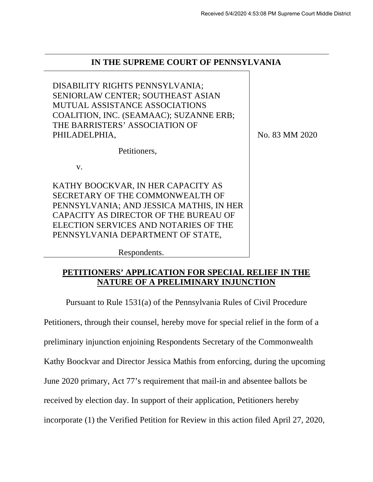# **IN THE SUPREME COURT OF PENNSYLVANIA**

DISABILITY RIGHTS PENNSYLVANIA; SENIORLAW CENTER; SOUTHEAST ASIAN MUTUAL ASSISTANCE ASSOCIATIONS COALITION, INC. (SEAMAAC); SUZANNE ERB; THE BARRISTERS' ASSOCIATION OF PHILADELPHIA, Petitioners, v. KATHY BOOCKVAR, IN HER CAPACITY AS SECRETARY OF THE COMMONWEALTH OF PENNSYLVANIA; AND JESSICA MATHIS, IN HER CAPACITY AS DIRECTOR OF THE BUREAU OF ELECTION SERVICES AND NOTARIES OF THE PENNSYLVANIA DEPARTMENT OF STATE, No. 83 MM 2020

Respondents.

# **PETITIONERS' APPLICATION FOR SPECIAL RELIEF IN THE NATURE OF A PRELIMINARY INJUNCTION**

Pursuant to Rule 1531(a) of the Pennsylvania Rules of Civil Procedure

Petitioners, through their counsel, hereby move for special relief in the form of a

preliminary injunction enjoining Respondents Secretary of the Commonwealth

Kathy Boockvar and Director Jessica Mathis from enforcing, during the upcoming

June 2020 primary, Act 77's requirement that mail-in and absentee ballots be

received by election day. In support of their application, Petitioners hereby

incorporate (1) the Verified Petition for Review in this action filed April 27, 2020,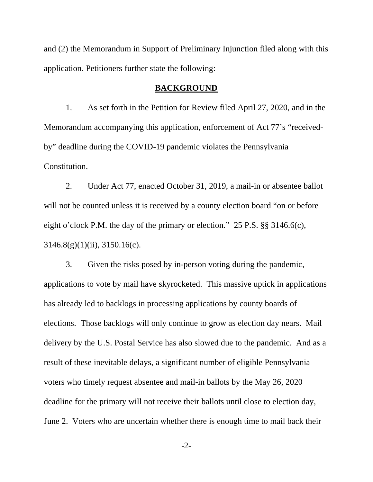and (2) the Memorandum in Support of Preliminary Injunction filed along with this application. Petitioners further state the following:

#### **BACKGROUND**

1. As set forth in the Petition for Review filed April 27, 2020, and in the Memorandum accompanying this application, enforcement of Act 77's "receivedby" deadline during the COVID-19 pandemic violates the Pennsylvania Constitution.

2. Under Act 77, enacted October 31, 2019, a mail-in or absentee ballot will not be counted unless it is received by a county election board "on or before eight o'clock P.M. the day of the primary or election." 25 P.S. §§ 3146.6(c),  $3146.8(g)(1)(ii)$ ,  $3150.16(c)$ .

3. Given the risks posed by in-person voting during the pandemic, applications to vote by mail have skyrocketed. This massive uptick in applications has already led to backlogs in processing applications by county boards of elections. Those backlogs will only continue to grow as election day nears. Mail delivery by the U.S. Postal Service has also slowed due to the pandemic. And as a result of these inevitable delays, a significant number of eligible Pennsylvania voters who timely request absentee and mail-in ballots by the May 26, 2020 deadline for the primary will not receive their ballots until close to election day, June 2. Voters who are uncertain whether there is enough time to mail back their

-2-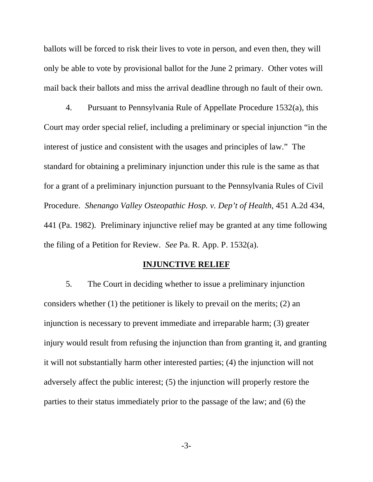ballots will be forced to risk their lives to vote in person, and even then, they will only be able to vote by provisional ballot for the June 2 primary. Other votes will mail back their ballots and miss the arrival deadline through no fault of their own.

4. Pursuant to Pennsylvania Rule of Appellate Procedure 1532(a), this Court may order special relief, including a preliminary or special injunction "in the interest of justice and consistent with the usages and principles of law." The standard for obtaining a preliminary injunction under this rule is the same as that for a grant of a preliminary injunction pursuant to the Pennsylvania Rules of Civil Procedure. *Shenango Valley Osteopathic Hosp. v. Dep't of Health*, 451 A.2d 434, 441 (Pa. 1982). Preliminary injunctive relief may be granted at any time following the filing of a Petition for Review. *See* Pa. R. App. P. 1532(a).

### **INJUNCTIVE RELIEF**

5. The Court in deciding whether to issue a preliminary injunction considers whether (1) the petitioner is likely to prevail on the merits; (2) an injunction is necessary to prevent immediate and irreparable harm; (3) greater injury would result from refusing the injunction than from granting it, and granting it will not substantially harm other interested parties; (4) the injunction will not adversely affect the public interest; (5) the injunction will properly restore the parties to their status immediately prior to the passage of the law; and (6) the

-3-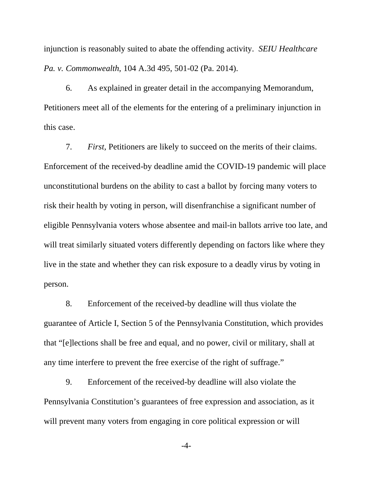injunction is reasonably suited to abate the offending activity. *SEIU Healthcare Pa. v. Commonwealth*, 104 A.3d 495, 501-02 (Pa. 2014).

6. As explained in greater detail in the accompanying Memorandum, Petitioners meet all of the elements for the entering of a preliminary injunction in this case.

7. *First,* Petitioners are likely to succeed on the merits of their claims. Enforcement of the received-by deadline amid the COVID-19 pandemic will place unconstitutional burdens on the ability to cast a ballot by forcing many voters to risk their health by voting in person, will disenfranchise a significant number of eligible Pennsylvania voters whose absentee and mail-in ballots arrive too late, and will treat similarly situated voters differently depending on factors like where they live in the state and whether they can risk exposure to a deadly virus by voting in person.

8. Enforcement of the received-by deadline will thus violate the guarantee of Article I, Section 5 of the Pennsylvania Constitution, which provides that "[e]lections shall be free and equal, and no power, civil or military, shall at any time interfere to prevent the free exercise of the right of suffrage."

9. Enforcement of the received-by deadline will also violate the Pennsylvania Constitution's guarantees of free expression and association, as it will prevent many voters from engaging in core political expression or will

-4-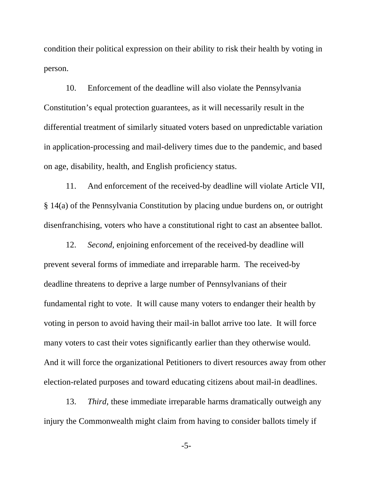condition their political expression on their ability to risk their health by voting in person.

10. Enforcement of the deadline will also violate the Pennsylvania Constitution's equal protection guarantees, as it will necessarily result in the differential treatment of similarly situated voters based on unpredictable variation in application-processing and mail-delivery times due to the pandemic, and based on age, disability, health, and English proficiency status.

11. And enforcement of the received-by deadline will violate Article VII, § 14(a) of the Pennsylvania Constitution by placing undue burdens on, or outright disenfranchising, voters who have a constitutional right to cast an absentee ballot.

12. *Second,* enjoining enforcement of the received-by deadline will prevent several forms of immediate and irreparable harm. The received-by deadline threatens to deprive a large number of Pennsylvanians of their fundamental right to vote. It will cause many voters to endanger their health by voting in person to avoid having their mail-in ballot arrive too late. It will force many voters to cast their votes significantly earlier than they otherwise would. And it will force the organizational Petitioners to divert resources away from other election-related purposes and toward educating citizens about mail-in deadlines.

13. *Third,* these immediate irreparable harms dramatically outweigh any injury the Commonwealth might claim from having to consider ballots timely if

-5-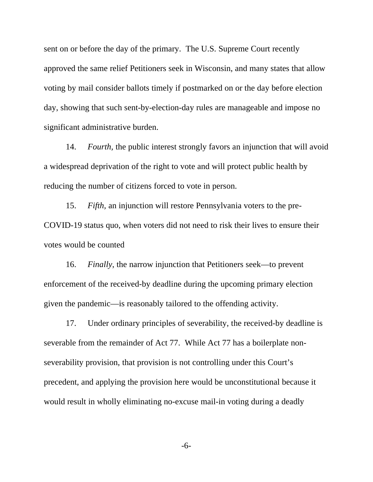sent on or before the day of the primary. The U.S. Supreme Court recently approved the same relief Petitioners seek in Wisconsin, and many states that allow voting by mail consider ballots timely if postmarked on or the day before election day, showing that such sent-by-election-day rules are manageable and impose no significant administrative burden.

14. *Fourth,* the public interest strongly favors an injunction that will avoid a widespread deprivation of the right to vote and will protect public health by reducing the number of citizens forced to vote in person.

15. *Fifth,* an injunction will restore Pennsylvania voters to the pre-COVID-19 status quo, when voters did not need to risk their lives to ensure their votes would be counted

16. *Finally*, the narrow injunction that Petitioners seek—to prevent enforcement of the received-by deadline during the upcoming primary election given the pandemic—is reasonably tailored to the offending activity.

17. Under ordinary principles of severability, the received-by deadline is severable from the remainder of Act 77. While Act 77 has a boilerplate nonseverability provision, that provision is not controlling under this Court's precedent, and applying the provision here would be unconstitutional because it would result in wholly eliminating no-excuse mail-in voting during a deadly

-6-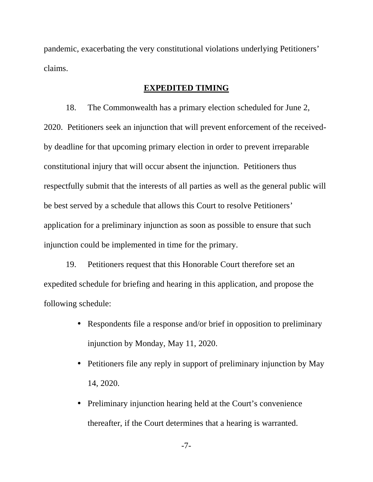pandemic, exacerbating the very constitutional violations underlying Petitioners' claims.

## **EXPEDITED TIMING**

18. The Commonwealth has a primary election scheduled for June 2, 2020. Petitioners seek an injunction that will prevent enforcement of the receivedby deadline for that upcoming primary election in order to prevent irreparable constitutional injury that will occur absent the injunction. Petitioners thus respectfully submit that the interests of all parties as well as the general public will be best served by a schedule that allows this Court to resolve Petitioners' application for a preliminary injunction as soon as possible to ensure that such injunction could be implemented in time for the primary.

19. Petitioners request that this Honorable Court therefore set an expedited schedule for briefing and hearing in this application, and propose the following schedule:

- Respondents file a response and/or brief in opposition to preliminary injunction by Monday, May 11, 2020.
- Petitioners file any reply in support of preliminary injunction by May 14, 2020.
- Preliminary injunction hearing held at the Court's convenience thereafter, if the Court determines that a hearing is warranted.

-7-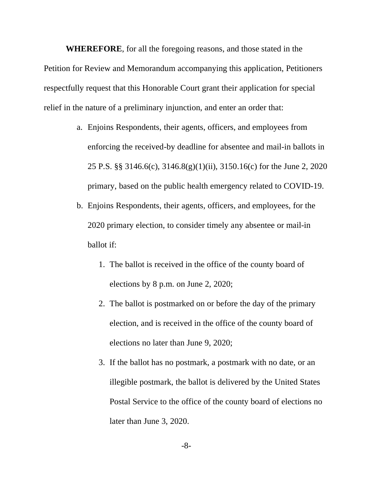**WHEREFORE**, for all the foregoing reasons, and those stated in the Petition for Review and Memorandum accompanying this application, Petitioners respectfully request that this Honorable Court grant their application for special relief in the nature of a preliminary injunction, and enter an order that:

- a. Enjoins Respondents, their agents, officers, and employees from enforcing the received-by deadline for absentee and mail-in ballots in 25 P.S. §§ 3146.6(c), 3146.8(g)(1)(ii), 3150.16(c) for the June 2, 2020 primary, based on the public health emergency related to COVID-19.
- b. Enjoins Respondents, their agents, officers, and employees, for the 2020 primary election, to consider timely any absentee or mail-in ballot if:
	- 1. The ballot is received in the office of the county board of elections by 8 p.m. on June 2, 2020;
	- 2. The ballot is postmarked on or before the day of the primary election, and is received in the office of the county board of elections no later than June 9, 2020;
	- 3. If the ballot has no postmark, a postmark with no date, or an illegible postmark, the ballot is delivered by the United States Postal Service to the office of the county board of elections no later than June 3, 2020.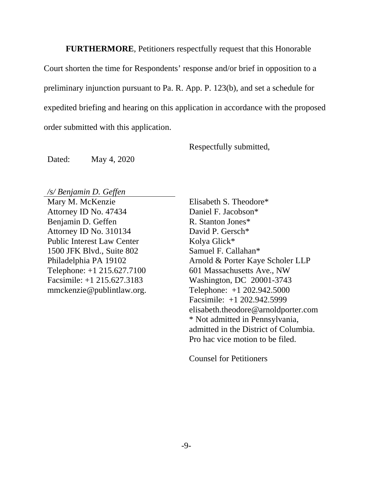**FURTHERMORE**, Petitioners respectfully request that this Honorable

Court shorten the time for Respondents' response and/or brief in opposition to a preliminary injunction pursuant to Pa. R. App. P. 123(b), and set a schedule for expedited briefing and hearing on this application in accordance with the proposed order submitted with this application.

Respectfully submitted,

Dated: May 4, 2020

*/s/ Benjamin D. Geffen*

Mary M. McKenzie Attorney ID No. 47434 Benjamin D. Geffen Attorney ID No. 310134 Public Interest Law Center 1500 JFK Blvd., Suite 802 Philadelphia PA 19102 Telephone: +1 215.627.7100 Facsimile: +1 215.627.3183 mmckenzie@publintlaw.org.

Elisabeth S. Theodore\* Daniel F. Jacobson\* R. Stanton Jones\* David P. Gersch\* Kolya Glick\* Samuel F. Callahan\* Arnold & Porter Kaye Scholer LLP 601 Massachusetts Ave., NW Washington, DC 20001-3743 Telephone: +1 202.942.5000 Facsimile: +1 202.942.5999 elisabeth.theodore@arnoldporter.com \* Not admitted in Pennsylvania, admitted in the District of Columbia. Pro hac vice motion to be filed.

Counsel for Petitioners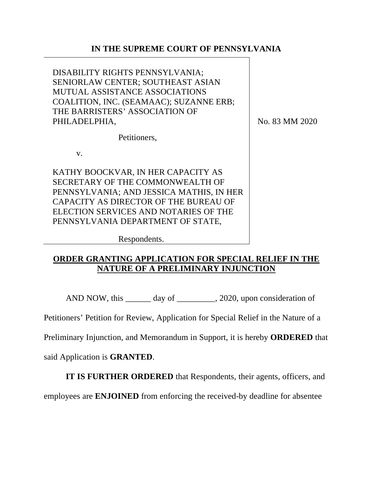# **IN THE SUPREME COURT OF PENNSYLVANIA**

DISABILITY RIGHTS PENNSYLVANIA; SENIORLAW CENTER; SOUTHEAST ASIAN MUTUAL ASSISTANCE ASSOCIATIONS COALITION, INC. (SEAMAAC); SUZANNE ERB; THE BARRISTERS' ASSOCIATION OF PHILADELPHIA,

No. 83 MM 2020

Petitioners,

v.

KATHY BOOCKVAR, IN HER CAPACITY AS SECRETARY OF THE COMMONWEALTH OF PENNSYLVANIA; AND JESSICA MATHIS, IN HER CAPACITY AS DIRECTOR OF THE BUREAU OF ELECTION SERVICES AND NOTARIES OF THE PENNSYLVANIA DEPARTMENT OF STATE,

Respondents.

# **ORDER GRANTING APPLICATION FOR SPECIAL RELIEF IN THE NATURE OF A PRELIMINARY INJUNCTION**

AND NOW, this \_\_\_\_\_\_\_ day of \_\_\_\_\_\_\_\_, 2020, upon consideration of

Petitioners' Petition for Review, Application for Special Relief in the Nature of a

Preliminary Injunction, and Memorandum in Support, it is hereby **ORDERED** that

said Application is **GRANTED**.

**IT IS FURTHER ORDERED** that Respondents, their agents, officers, and

employees are **ENJOINED** from enforcing the received-by deadline for absentee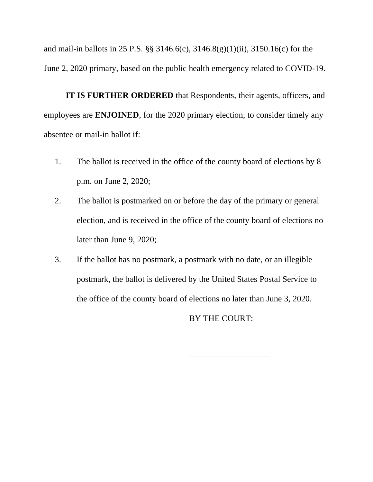and mail-in ballots in 25 P.S. §§ 3146.6(c), 3146.8(g)(1)(ii), 3150.16(c) for the June 2, 2020 primary, based on the public health emergency related to COVID-19.

**IT IS FURTHER ORDERED** that Respondents, their agents, officers, and employees are **ENJOINED**, for the 2020 primary election, to consider timely any absentee or mail-in ballot if:

- 1. The ballot is received in the office of the county board of elections by 8 p.m. on June 2, 2020;
- 2. The ballot is postmarked on or before the day of the primary or general election, and is received in the office of the county board of elections no later than June 9, 2020;
- 3. If the ballot has no postmark, a postmark with no date, or an illegible postmark, the ballot is delivered by the United States Postal Service to the office of the county board of elections no later than June 3, 2020.

BY THE COURT:

\_\_\_\_\_\_\_\_\_\_\_\_\_\_\_\_\_\_\_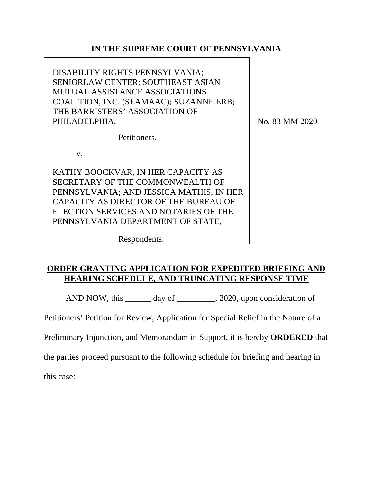## **IN THE SUPREME COURT OF PENNSYLVANIA**

DISABILITY RIGHTS PENNSYLVANIA; SENIORLAW CENTER; SOUTHEAST ASIAN MUTUAL ASSISTANCE ASSOCIATIONS COALITION, INC. (SEAMAAC); SUZANNE ERB; THE BARRISTERS' ASSOCIATION OF PHILADELPHIA,

No. 83 MM 2020

Petitioners,

v.

KATHY BOOCKVAR, IN HER CAPACITY AS SECRETARY OF THE COMMONWEALTH OF PENNSYLVANIA; AND JESSICA MATHIS, IN HER CAPACITY AS DIRECTOR OF THE BUREAU OF ELECTION SERVICES AND NOTARIES OF THE PENNSYLVANIA DEPARTMENT OF STATE,

Respondents.

# **ORDER GRANTING APPLICATION FOR EXPEDITED BRIEFING AND HEARING SCHEDULE, AND TRUNCATING RESPONSE TIME**

AND NOW, this \_\_\_\_\_\_\_ day of \_\_\_\_\_\_\_\_, 2020, upon consideration of

Petitioners' Petition for Review, Application for Special Relief in the Nature of a

Preliminary Injunction, and Memorandum in Support, it is hereby **ORDERED** that

the parties proceed pursuant to the following schedule for briefing and hearing in

this case: